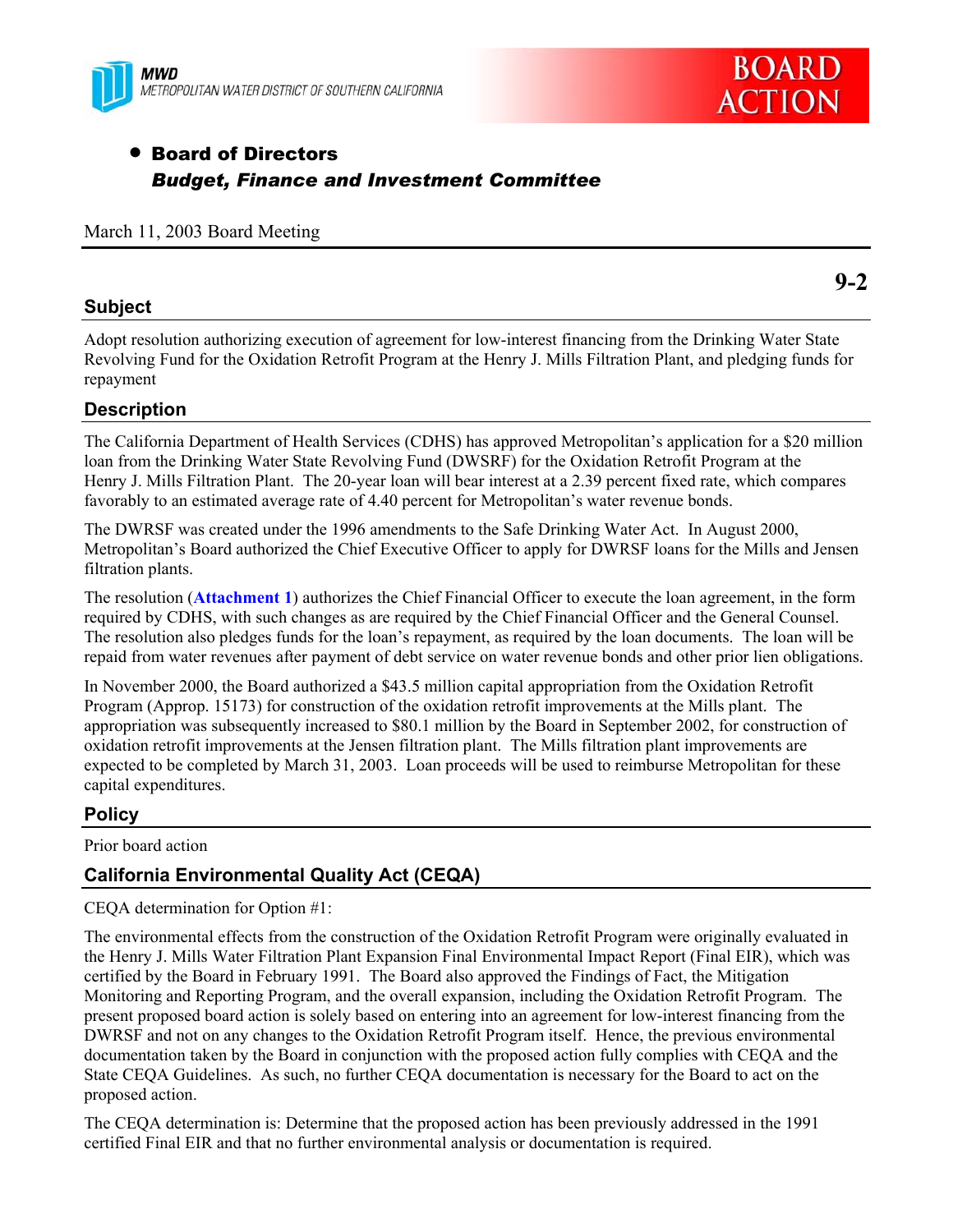



**9-2** 

# **• Board of Directors** *Budget, Finance and Investment Committee*

# March 11, 2003 Board Meeting

# **Subject**

Adopt resolution authorizing execution of agreement for low-interest financing from the Drinking Water State Revolving Fund for the Oxidation Retrofit Program at the Henry J. Mills Filtration Plant, and pledging funds for repayment

# **Description**

The California Department of Health Services (CDHS) has approved Metropolitan's application for a \$20 million loan from the Drinking Water State Revolving Fund (DWSRF) for the Oxidation Retrofit Program at the Henry J. Mills Filtration Plant. The 20-year loan will bear interest at a 2.39 percent fixed rate, which compares favorably to an estimated average rate of 4.40 percent for Metropolitan's water revenue bonds.

The DWRSF was created under the 1996 amendments to the Safe Drinking Water Act. In August 2000, Metropolitan's Board authorized the Chief Executive Officer to apply for DWRSF loans for the Mills and Jensen filtration plants.

The resolution (**Attachment 1**) authorizes the Chief Financial Officer to execute the loan agreement, in the form required by CDHS, with such changes as are required by the Chief Financial Officer and the General Counsel. The resolution also pledges funds for the loan's repayment, as required by the loan documents. The loan will be repaid from water revenues after payment of debt service on water revenue bonds and other prior lien obligations.

In November 2000, the Board authorized a \$43.5 million capital appropriation from the Oxidation Retrofit Program (Approp. 15173) for construction of the oxidation retrofit improvements at the Mills plant. The appropriation was subsequently increased to \$80.1 million by the Board in September 2002, for construction of oxidation retrofit improvements at the Jensen filtration plant. The Mills filtration plant improvements are expected to be completed by March 31, 2003. Loan proceeds will be used to reimburse Metropolitan for these capital expenditures.

# **Policy**

Prior board action

# **California Environmental Quality Act (CEQA)**

CEQA determination for Option #1:

The environmental effects from the construction of the Oxidation Retrofit Program were originally evaluated in the Henry J. Mills Water Filtration Plant Expansion Final Environmental Impact Report (Final EIR), which was certified by the Board in February 1991. The Board also approved the Findings of Fact, the Mitigation Monitoring and Reporting Program, and the overall expansion, including the Oxidation Retrofit Program. The present proposed board action is solely based on entering into an agreement for low-interest financing from the DWRSF and not on any changes to the Oxidation Retrofit Program itself. Hence, the previous environmental documentation taken by the Board in conjunction with the proposed action fully complies with CEQA and the State CEQA Guidelines. As such, no further CEQA documentation is necessary for the Board to act on the proposed action.

The CEQA determination is: Determine that the proposed action has been previously addressed in the 1991 certified Final EIR and that no further environmental analysis or documentation is required.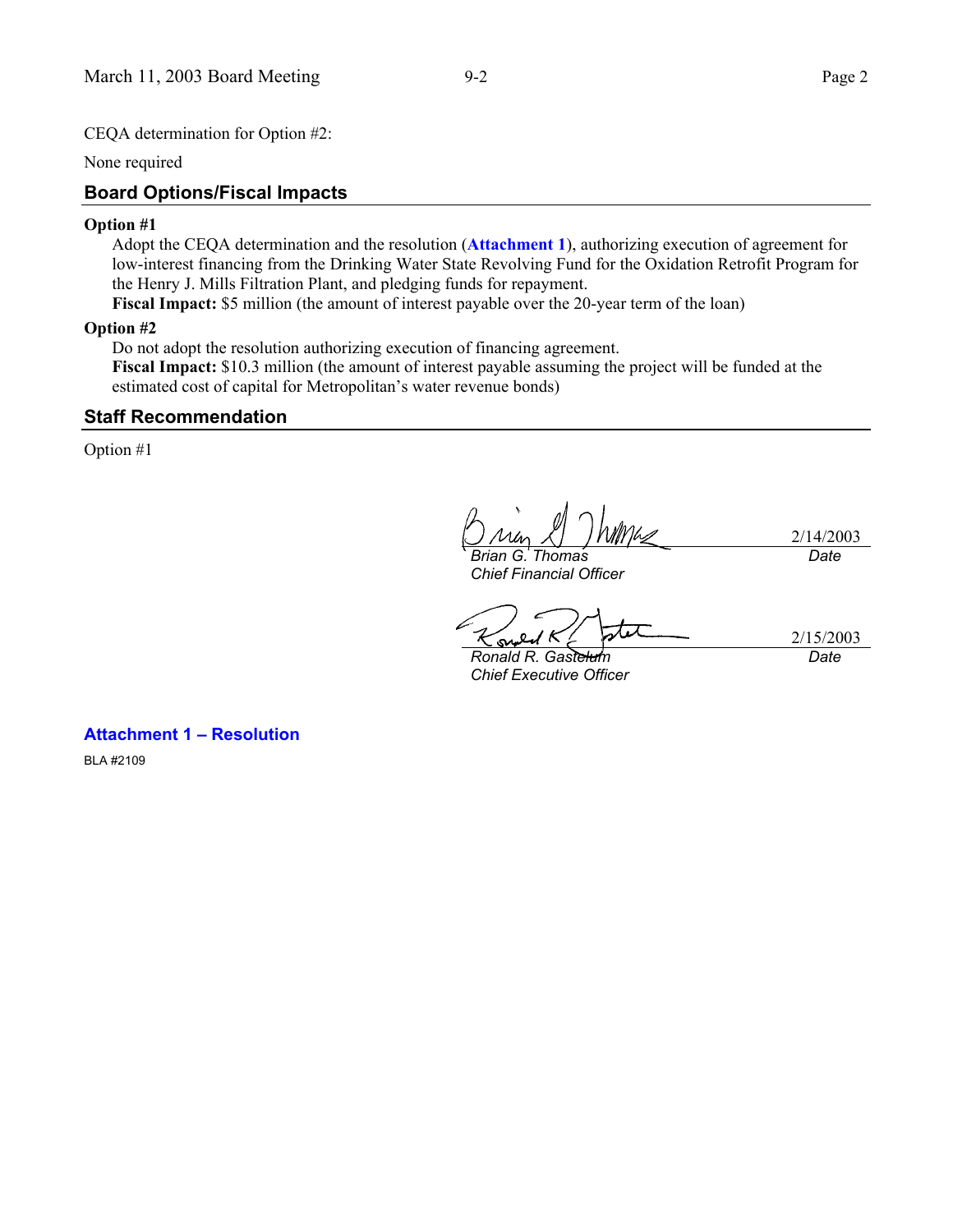CEQA determination for Option #2:

None required

#### **Board Options/Fiscal Impacts**

#### **Option #1**

Adopt the CEQA determination and the resolution (**Attachment 1**), authorizing execution of agreement for low-interest financing from the Drinking Water State Revolving Fund for the Oxidation Retrofit Program for the Henry J. Mills Filtration Plant, and pledging funds for repayment.

**Fiscal Impact:** \$5 million (the amount of interest payable over the 20-year term of the loan)

#### **Option #2**

Do not adopt the resolution authorizing execution of financing agreement. **Fiscal Impact:** \$10.3 million (the amount of interest payable assuming the project will be funded at the estimated cost of capital for Metropolitan's water revenue bonds)

#### **Staff Recommendation**

Option #1

*Brian G. Thomas Chief Financial Officer* 

2/14/2003 *Date*

su

2/15/2003 *Date*

*Ronald R. Gastelum Chief Executive Officer* 

**Attachment 1 – Resolution** 

BLA #2109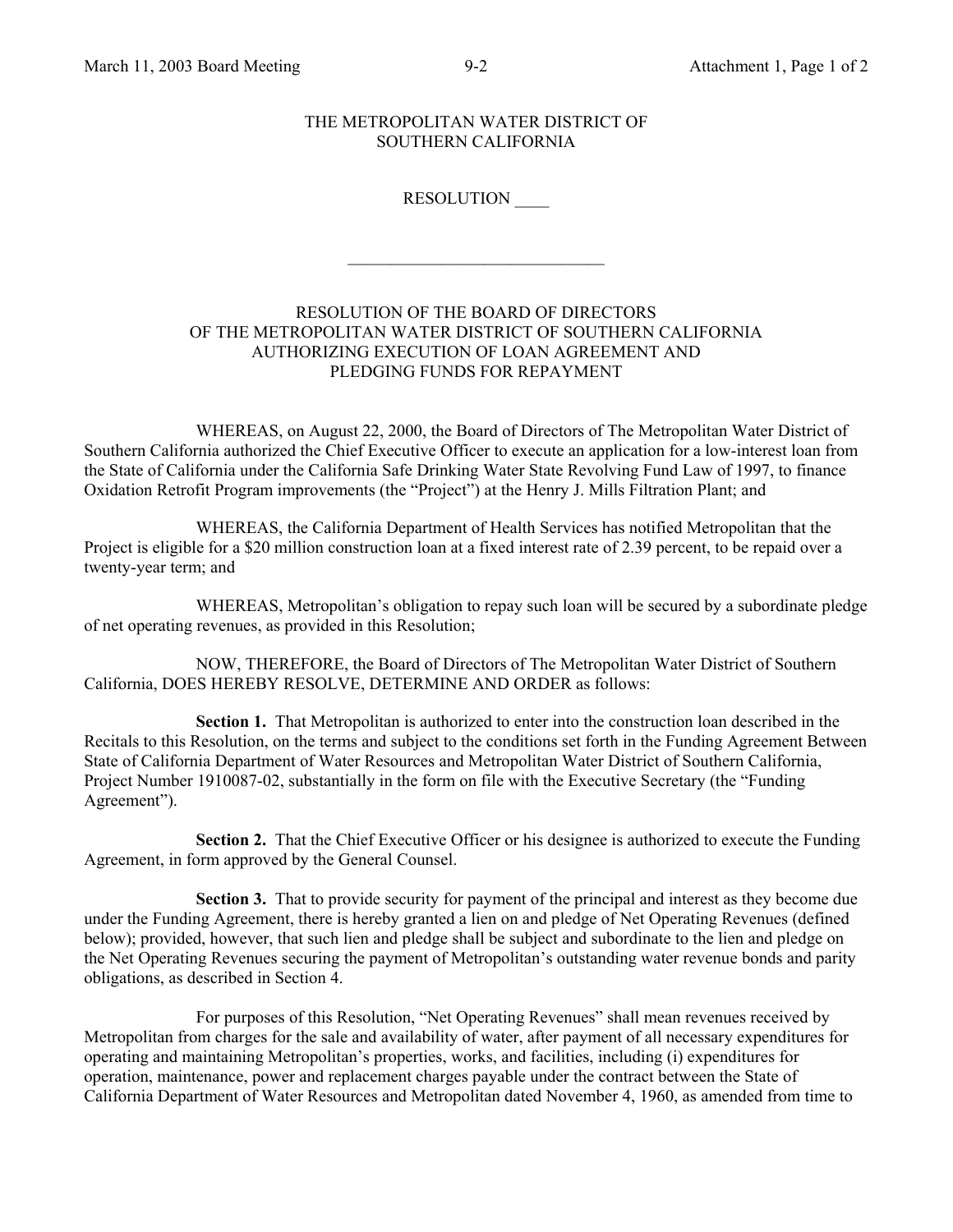#### THE METROPOLITAN WATER DISTRICT OF SOUTHERN CALIFORNIA

### RESOLUTION \_\_\_\_

# RESOLUTION OF THE BOARD OF DIRECTORS OF THE METROPOLITAN WATER DISTRICT OF SOUTHERN CALIFORNIA AUTHORIZING EXECUTION OF LOAN AGREEMENT AND PLEDGING FUNDS FOR REPAYMENT

 $\mathcal{L}_\text{max}$ 

WHEREAS, on August 22, 2000, the Board of Directors of The Metropolitan Water District of Southern California authorized the Chief Executive Officer to execute an application for a low-interest loan from the State of California under the California Safe Drinking Water State Revolving Fund Law of 1997, to finance Oxidation Retrofit Program improvements (the "Project") at the Henry J. Mills Filtration Plant; and

WHEREAS, the California Department of Health Services has notified Metropolitan that the Project is eligible for a \$20 million construction loan at a fixed interest rate of 2.39 percent, to be repaid over a twenty-year term; and

WHEREAS, Metropolitan's obligation to repay such loan will be secured by a subordinate pledge of net operating revenues, as provided in this Resolution;

NOW, THEREFORE, the Board of Directors of The Metropolitan Water District of Southern California, DOES HEREBY RESOLVE, DETERMINE AND ORDER as follows:

**Section 1.** That Metropolitan is authorized to enter into the construction loan described in the Recitals to this Resolution, on the terms and subject to the conditions set forth in the Funding Agreement Between State of California Department of Water Resources and Metropolitan Water District of Southern California, Project Number 1910087-02, substantially in the form on file with the Executive Secretary (the "Funding Agreement").

**Section 2.** That the Chief Executive Officer or his designee is authorized to execute the Funding Agreement, in form approved by the General Counsel.

**Section 3.** That to provide security for payment of the principal and interest as they become due under the Funding Agreement, there is hereby granted a lien on and pledge of Net Operating Revenues (defined below); provided, however, that such lien and pledge shall be subject and subordinate to the lien and pledge on the Net Operating Revenues securing the payment of Metropolitan's outstanding water revenue bonds and parity obligations, as described in Section 4.

For purposes of this Resolution, "Net Operating Revenues" shall mean revenues received by Metropolitan from charges for the sale and availability of water, after payment of all necessary expenditures for operating and maintaining Metropolitan's properties, works, and facilities, including (i) expenditures for operation, maintenance, power and replacement charges payable under the contract between the State of California Department of Water Resources and Metropolitan dated November 4, 1960, as amended from time to